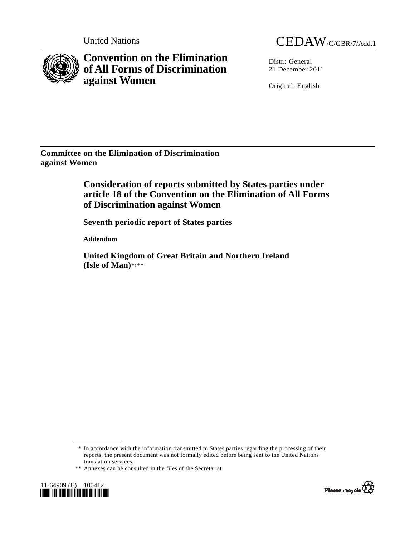

**Convention on the Elimination of All Forms of Discrimination against Women** 

United Nations CEDAW/C/GBR/7/Add.1

 $Distr: General$ 21 December 2011

Original: English

**Committee on the Elimination of Discrimination against Women** 

> **Consideration of reports submitted by States parties under article 18 of the Convention on the Elimination of All Forms of Discrimination against Women**

 **Seventh periodic report of States parties** 

 **Addendum** 

 **United Kingdom of Great Britain and Northern Ireland (Isle of Man)**\***,** \*\*

 \* In accordance with the information transmitted to States parties regarding the processing of their reports, the present document was not formally edited before being sent to the United Nations translation services.

 <sup>\*\*</sup> Annexes can be consulted in the files of the Secretariat.



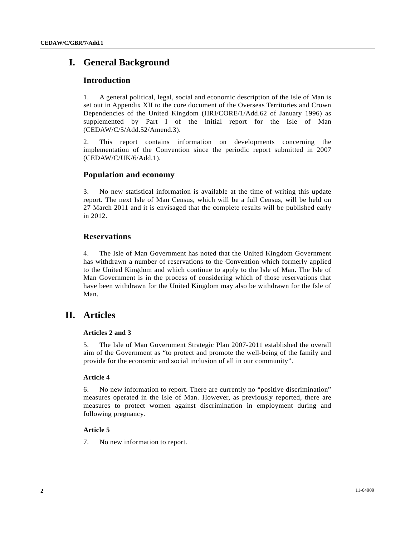# **I. General Background**

## **Introduction**

1. A general political, legal, social and economic description of the Isle of Man is set out in Appendix XII to the core document of the Overseas Territories and Crown Dependencies of the United Kingdom (HRI/CORE/1/Add.62 of January 1996) as supplemented by Part I of the initial report for the Isle of Man (CEDAW/C/5/Add.52/Amend.3).

2. This report contains information on developments concerning the implementation of the Convention since the periodic report submitted in 2007 (CEDAW/C/UK/6/Add.1).

## **Population and economy**

3. No new statistical information is available at the time of writing this update report. The next Isle of Man Census, which will be a full Census, will be held on 27 March 2011 and it is envisaged that the complete results will be published early in 2012.

## **Reservations**

4. The Isle of Man Government has noted that the United Kingdom Government has withdrawn a number of reservations to the Convention which formerly applied to the United Kingdom and which continue to apply to the Isle of Man. The Isle of Man Government is in the process of considering which of those reservations that have been withdrawn for the United Kingdom may also be withdrawn for the Isle of Man.

# **II. Articles**

### **Articles 2 and 3**

5. The Isle of Man Government Strategic Plan 2007-2011 established the overall aim of the Government as "to protect and promote the well-being of the family and provide for the economic and social inclusion of all in our community".

### **Article 4**

6. No new information to report. There are currently no "positive discrimination" measures operated in the Isle of Man. However, as previously reported, there are measures to protect women against discrimination in employment during and following pregnancy.

### **Article 5**

7. No new information to report.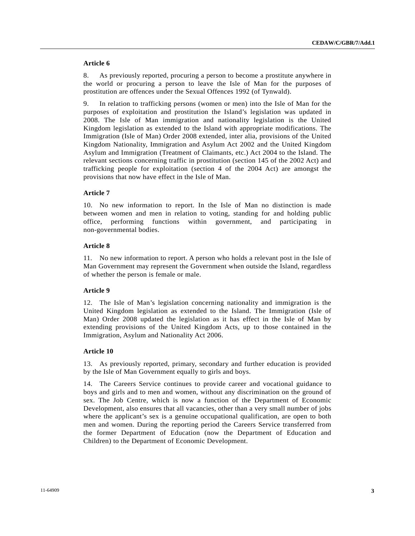#### **Article 6**

8. As previously reported, procuring a person to become a prostitute anywhere in the world or procuring a person to leave the Isle of Man for the purposes of prostitution are offences under the Sexual Offences 1992 (of Tynwald).

9. In relation to trafficking persons (women or men) into the Isle of Man for the purposes of exploitation and prostitution the Island's legislation was updated in 2008. The Isle of Man immigration and nationality legislation is the United Kingdom legislation as extended to the Island with appropriate modifications. The Immigration (Isle of Man) Order 2008 extended, inter alia, provisions of the United Kingdom Nationality, Immigration and Asylum Act 2002 and the United Kingdom Asylum and Immigration (Treatment of Claimants, etc.) Act 2004 to the Island. The relevant sections concerning traffic in prostitution (section 145 of the 2002 Act) and trafficking people for exploitation (section 4 of the 2004 Act) are amongst the provisions that now have effect in the Isle of Man.

#### **Article 7**

10. No new information to report. In the Isle of Man no distinction is made between women and men in relation to voting, standing for and holding public office, performing functions within government, and participating in non-governmental bodies.

#### **Article 8**

11. No new information to report. A person who holds a relevant post in the Isle of Man Government may represent the Government when outside the Island, regardless of whether the person is female or male.

#### **Article 9**

12. The Isle of Man's legislation concerning nationality and immigration is the United Kingdom legislation as extended to the Island. The Immigration (Isle of Man) Order 2008 updated the legislation as it has effect in the Isle of Man by extending provisions of the United Kingdom Acts, up to those contained in the Immigration, Asylum and Nationality Act 2006.

#### **Article 10**

13. As previously reported, primary, secondary and further education is provided by the Isle of Man Government equally to girls and boys.

14. The Careers Service continues to provide career and vocational guidance to boys and girls and to men and women, without any discrimination on the ground of sex. The Job Centre, which is now a function of the Department of Economic Development, also ensures that all vacancies, other than a very small number of jobs where the applicant's sex is a genuine occupational qualification, are open to both men and women. During the reporting period the Careers Service transferred from the former Department of Education (now the Department of Education and Children) to the Department of Economic Development.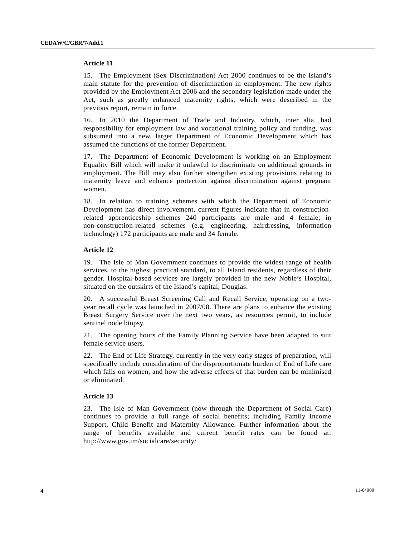#### **Article 11**

15. The Employment (Sex Discrimination) Act 2000 continues to be the Island's main statute for the prevention of discrimination in employment. The new rights provided by the Employment Act 2006 and the secondary legislation made under the Act, such as greatly enhanced maternity rights, which were described in the previous report, remain in force.

16. In 2010 the Department of Trade and Industry, which, inter alia, had responsibility for employment law and vocational training policy and funding, was subsumed into a new, larger Department of Economic Development which has assumed the functions of the former Department.

17. The Department of Economic Development is working on an Employment Equality Bill which will make it unlawful to discriminate on additional grounds in employment. The Bill may also further strengthen existing provisions relating to maternity leave and enhance protection against discrimination against pregnant women.

18. In relation to training schemes with which the Department of Economic Development has direct involvement, current figures indicate that in constructionrelated apprenticeship schemes 240 participants are male and 4 female; in non-construction-related schemes (e.g. engineering, hairdressing, information technology) 172 participants are male and 34 female.

#### **Article 12**

19. The Isle of Man Government continues to provide the widest range of health services, to the highest practical standard, to all Island residents, regardless of their gender. Hospital-based services are largely provided in the new Noble's Hospital, situated on the outskirts of the Island's capital, Douglas.

20. A successful Breast Screening Call and Recall Service, operating on a twoyear recall cycle was launched in 2007/08. There are plans to enhance the existing Breast Surgery Service over the next two years, as resources permit, to include sentinel node biopsy.

21. The opening hours of the Family Planning Service have been adapted to suit female service users.

22. The End of Life Strategy, currently in the very early stages of preparation, will specifically include consideration of the disproportionate burden of End of Life care which falls on women, and how the adverse effects of that burden can be minimised or eliminated.

#### **Article 13**

23. The Isle of Man Government (now through the Department of Social Care) continues to provide a full range of social benefits; including Family Income Support, Child Benefit and Maternity Allowance. Further information about the range of benefits available and current benefit rates can be found at: http://www.gov.im/socialcare/security/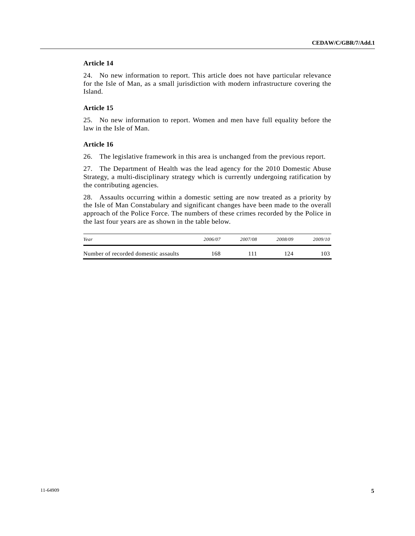### **Article 14**

24. No new information to report. This article does not have particular relevance for the Isle of Man, as a small jurisdiction with modern infrastructure covering the Island.

## **Article 15**

25. No new information to report. Women and men have full equality before the law in the Isle of Man.

#### **Article 16**

26. The legislative framework in this area is unchanged from the previous report.

27. The Department of Health was the lead agency for the 2010 Domestic Abuse Strategy, a multi-disciplinary strategy which is currently undergoing ratification by the contributing agencies.

28. Assaults occurring within a domestic setting are now treated as a priority by the Isle of Man Constabulary and significant changes have been made to the overall approach of the Police Force. The numbers of these crimes recorded by the Police in the last four years are as shown in the table below.

| Year                                 | 2006/07 | 2007/08 | 2008/09 | 2009/10 |
|--------------------------------------|---------|---------|---------|---------|
| Number of recorded domestic assaults | -68     |         | 124     | 103     |